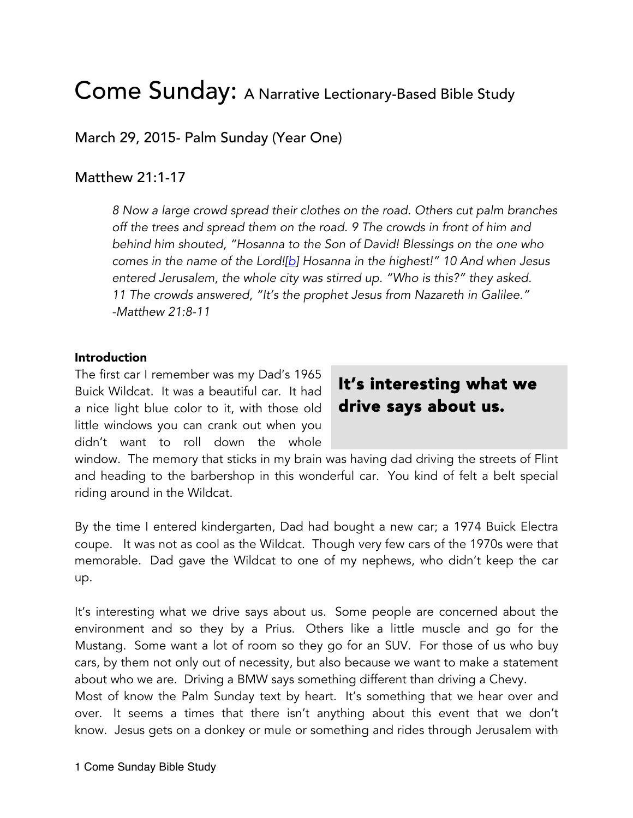# Come Sunday: A Narrative Lectionary-Based Bible Study

March 29, 2015- Palm Sunday (Year One)

# Matthew 21:1-17

*8 Now a large crowd spread their clothes on the road. Others cut palm branches off the trees and spread them on the road. 9 The crowds in front of him and behind him shouted, "Hosanna to the Son of David! Blessings on the one who comes in the name of the Lord![b] Hosanna in the highest!" 10 And when Jesus entered Jerusalem, the whole city was stirred up. "Who is this?" they asked. 11 The crowds answered, "It's the prophet Jesus from Nazareth in Galilee." -Matthew 21:8-11*

#### Introduction

The first car I remember was my Dad's 1965 Buick Wildcat. It was a beautiful car. It had a nice light blue color to it, with those old little windows you can crank out when you didn't want to roll down the whole

# It's interesting what we drive says about us.

window. The memory that sticks in my brain was having dad driving the streets of Flint and heading to the barbershop in this wonderful car. You kind of felt a belt special riding around in the Wildcat.

By the time I entered kindergarten, Dad had bought a new car; a 1974 Buick Electra coupe. It was not as cool as the Wildcat. Though very few cars of the 1970s were that memorable. Dad gave the Wildcat to one of my nephews, who didn't keep the car up.

It's interesting what we drive says about us. Some people are concerned about the environment and so they by a Prius. Others like a little muscle and go for the Mustang. Some want a lot of room so they go for an SUV. For those of us who buy cars, by them not only out of necessity, but also because we want to make a statement about who we are. Driving a BMW says something different than driving a Chevy.

Most of know the Palm Sunday text by heart. It's something that we hear over and over. It seems a times that there isn't anything about this event that we don't know. Jesus gets on a donkey or mule or something and rides through Jerusalem with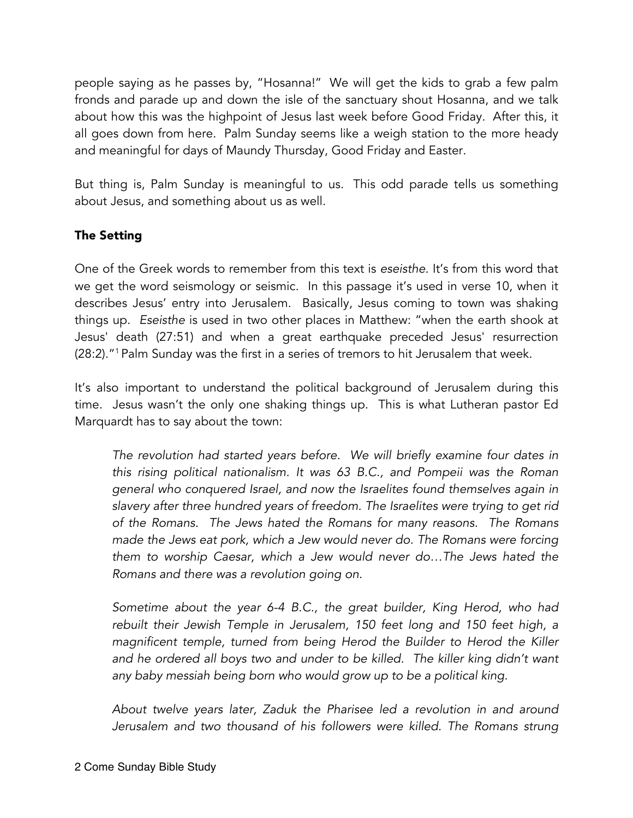people saying as he passes by, "Hosanna!" We will get the kids to grab a few palm fronds and parade up and down the isle of the sanctuary shout Hosanna, and we talk about how this was the highpoint of Jesus last week before Good Friday. After this, it all goes down from here. Palm Sunday seems like a weigh station to the more heady and meaningful for days of Maundy Thursday, Good Friday and Easter.

But thing is, Palm Sunday is meaningful to us. This odd parade tells us something about Jesus, and something about us as well.

# The Setting

One of the Greek words to remember from this text is *eseisthe.* It's from this word that we get the word seismology or seismic. In this passage it's used in verse 10, when it describes Jesus' entry into Jerusalem. Basically, Jesus coming to town was shaking things up. *Eseisthe* is used in two other places in Matthew: "when the earth shook at Jesus' death (27:51) and when a great earthquake preceded Jesus' resurrection (28:2)."1 Palm Sunday was the first in a series of tremors to hit Jerusalem that week.

It's also important to understand the political background of Jerusalem during this time. Jesus wasn't the only one shaking things up. This is what Lutheran pastor Ed Marquardt has to say about the town:

*The revolution had started years before. We will briefly examine four dates in this rising political nationalism. It was 63 B.C., and Pompeii was the Roman general who conquered Israel, and now the Israelites found themselves again in slavery after three hundred years of freedom. The Israelites were trying to get rid of the Romans. The Jews hated the Romans for many reasons. The Romans made the Jews eat pork, which a Jew would never do. The Romans were forcing them to worship Caesar, which a Jew would never do…The Jews hated the Romans and there was a revolution going on.* 

*Sometime about the year 6-4 B.C., the great builder, King Herod, who had rebuilt their Jewish Temple in Jerusalem, 150 feet long and 150 feet high, a magnificent temple, turned from being Herod the Builder to Herod the Killer*  and he ordered all boys two and under to be killed. The killer king didn't want *any baby messiah being born who would grow up to be a political king.* 

*About twelve years later, Zaduk the Pharisee led a revolution in and around*  Jerusalem and two thousand of his followers were killed. The Romans strung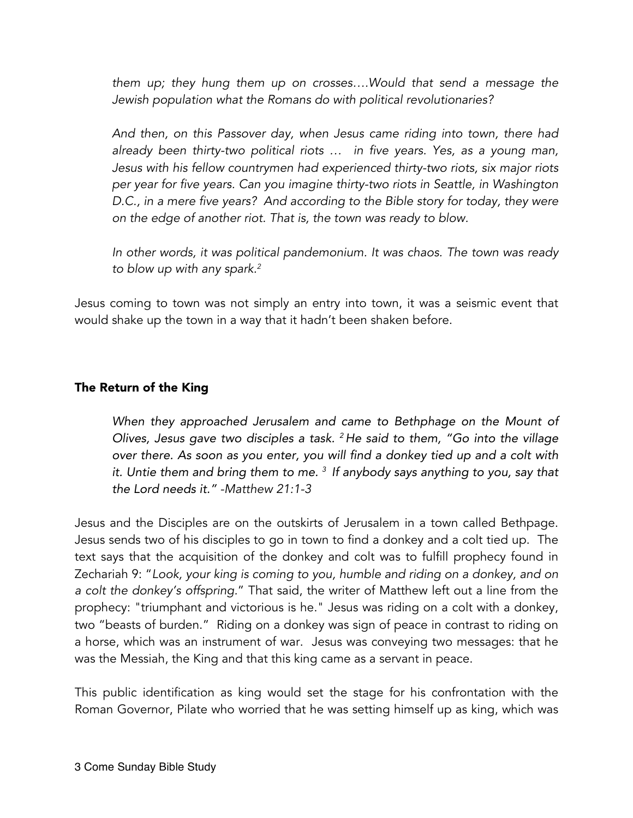*them up; they hung them up on crosses….Would that send a message the Jewish population what the Romans do with political revolutionaries?* 

*And then, on this Passover day, when Jesus came riding into town, there had already been thirty-two political riots … in five years. Yes, as a young man, Jesus with his fellow countrymen had experienced thirty-two riots, six major riots per year for five years. Can you imagine thirty-two riots in Seattle, in Washington D.C., in a mere five years? And according to the Bible story for today, they were on the edge of another riot. That is, the town was ready to blow.* 

*In other words, it was political pandemonium. It was chaos. The town was ready to blow up with any spark.2*

Jesus coming to town was not simply an entry into town, it was a seismic event that would shake up the town in a way that it hadn't been shaken before.

# The Return of the King

*When they approached Jerusalem and came to Bethphage on the Mount of Olives, Jesus gave two disciples a task. <sup>2</sup> He said to them, "Go into the village over there. As soon as you enter, you will find a donkey tied up and a colt with it. Untie them and bring them to me. <sup>3</sup> If anybody says anything to you, say that the Lord needs it." -Matthew 21:1-3*

Jesus and the Disciples are on the outskirts of Jerusalem in a town called Bethpage. Jesus sends two of his disciples to go in town to find a donkey and a colt tied up. The text says that the acquisition of the donkey and colt was to fulfill prophecy found in Zechariah 9: "*Look, your king is coming to you, humble and riding on a donkey, and on a colt the donkey's offspring.*" That said, the writer of Matthew left out a line from the prophecy: "triumphant and victorious is he." Jesus was riding on a colt with a donkey, two "beasts of burden." Riding on a donkey was sign of peace in contrast to riding on a horse, which was an instrument of war. Jesus was conveying two messages: that he was the Messiah, the King and that this king came as a servant in peace.

This public identification as king would set the stage for his confrontation with the Roman Governor, Pilate who worried that he was setting himself up as king, which was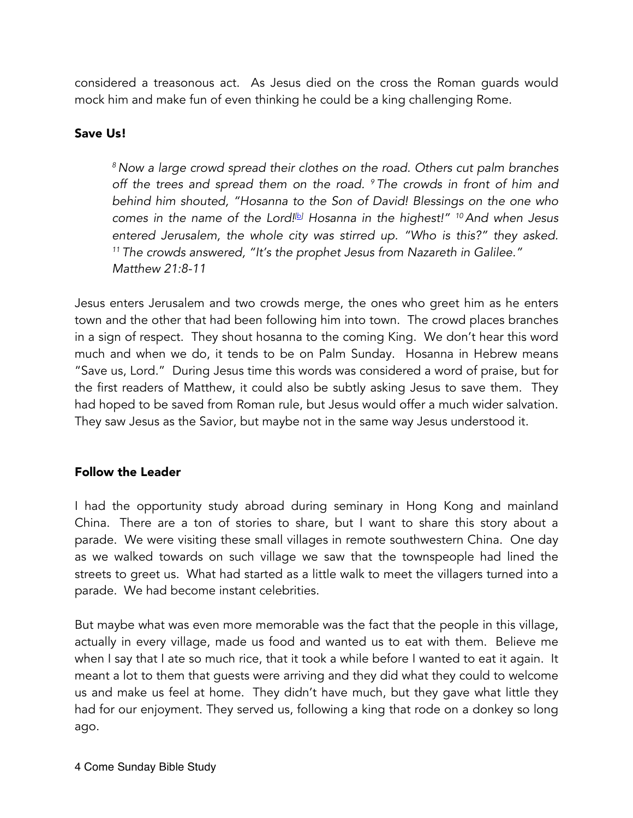considered a treasonous act. As Jesus died on the cross the Roman guards would mock him and make fun of even thinking he could be a king challenging Rome.

# Save Us!

*<sup>8</sup> Now a large crowd spread their clothes on the road. Others cut palm branches off the trees and spread them on the road. 9 The crowds in front of him and behind him shouted, "Hosanna to the Son of David! Blessings on the one who comes in the name of the Lord![b] Hosanna in the highest!" 10And when Jesus entered Jerusalem, the whole city was stirred up. "Who is this?" they asked. <sup>11</sup> The crowds answered, "It's the prophet Jesus from Nazareth in Galilee." Matthew 21:8-11*

Jesus enters Jerusalem and two crowds merge, the ones who greet him as he enters town and the other that had been following him into town. The crowd places branches in a sign of respect. They shout hosanna to the coming King. We don't hear this word much and when we do, it tends to be on Palm Sunday. Hosanna in Hebrew means "Save us, Lord." During Jesus time this words was considered a word of praise, but for the first readers of Matthew, it could also be subtly asking Jesus to save them. They had hoped to be saved from Roman rule, but Jesus would offer a much wider salvation. They saw Jesus as the Savior, but maybe not in the same way Jesus understood it.

#### Follow the Leader

I had the opportunity study abroad during seminary in Hong Kong and mainland China. There are a ton of stories to share, but I want to share this story about a parade. We were visiting these small villages in remote southwestern China. One day as we walked towards on such village we saw that the townspeople had lined the streets to greet us. What had started as a little walk to meet the villagers turned into a parade. We had become instant celebrities.

But maybe what was even more memorable was the fact that the people in this village, actually in every village, made us food and wanted us to eat with them. Believe me when I say that I ate so much rice, that it took a while before I wanted to eat it again. It meant a lot to them that guests were arriving and they did what they could to welcome us and make us feel at home. They didn't have much, but they gave what little they had for our enjoyment. They served us, following a king that rode on a donkey so long ago.